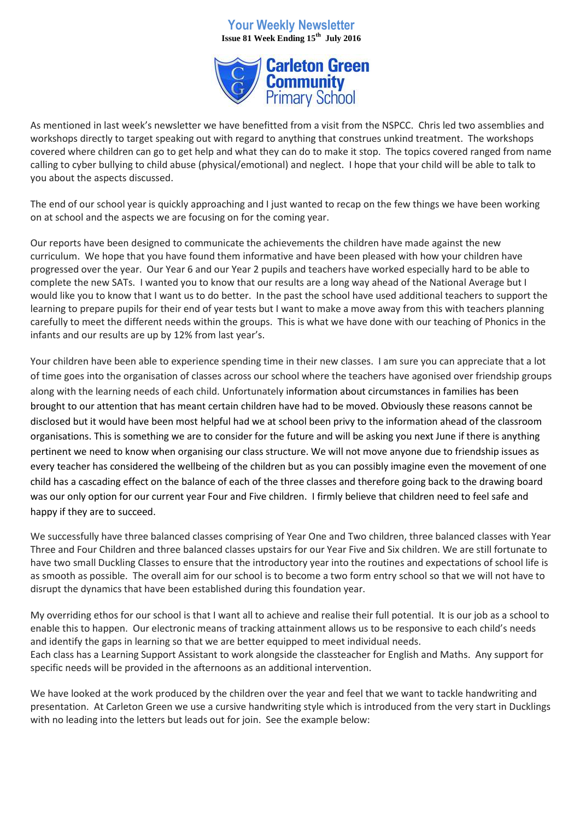## **Your Weekly Newsletter Issue 81 Week Ending 15th July 2016**



As mentioned in last week's newsletter we have benefitted from a visit from the NSPCC. Chris led two assemblies and workshops directly to target speaking out with regard to anything that construes unkind treatment. The workshops covered where children can go to get help and what they can do to make it stop. The topics covered ranged from name calling to cyber bullying to child abuse (physical/emotional) and neglect. I hope that your child will be able to talk to you about the aspects discussed.

The end of our school year is quickly approaching and I just wanted to recap on the few things we have been working on at school and the aspects we are focusing on for the coming year.

Our reports have been designed to communicate the achievements the children have made against the new curriculum. We hope that you have found them informative and have been pleased with how your children have progressed over the year. Our Year 6 and our Year 2 pupils and teachers have worked especially hard to be able to complete the new SATs. I wanted you to know that our results are a long way ahead of the National Average but I would like you to know that I want us to do better. In the past the school have used additional teachers to support the learning to prepare pupils for their end of year tests but I want to make a move away from this with teachers planning carefully to meet the different needs within the groups. This is what we have done with our teaching of Phonics in the infants and our results are up by 12% from last year's.

Your children have been able to experience spending time in their new classes. I am sure you can appreciate that a lot of time goes into the organisation of classes across our school where the teachers have agonised over friendship groups along with the learning needs of each child. Unfortunately information about circumstances in families has been brought to our attention that has meant certain children have had to be moved. Obviously these reasons cannot be disclosed but it would have been most helpful had we at school been privy to the information ahead of the classroom organisations. This is something we are to consider for the future and will be asking you next June if there is anything pertinent we need to know when organising our class structure. We will not move anyone due to friendship issues as every teacher has considered the wellbeing of the children but as you can possibly imagine even the movement of one child has a cascading effect on the balance of each of the three classes and therefore going back to the drawing board was our only option for our current year Four and Five children. I firmly believe that children need to feel safe and happy if they are to succeed.

We successfully have three balanced classes comprising of Year One and Two children, three balanced classes with Year Three and Four Children and three balanced classes upstairs for our Year Five and Six children. We are still fortunate to have two small Duckling Classes to ensure that the introductory year into the routines and expectations of school life is as smooth as possible. The overall aim for our school is to become a two form entry school so that we will not have to disrupt the dynamics that have been established during this foundation year.

My overriding ethos for our school is that I want all to achieve and realise their full potential. It is our job as a school to enable this to happen. Our electronic means of tracking attainment allows us to be responsive to each child's needs and identify the gaps in learning so that we are better equipped to meet individual needs. Each class has a Learning Support Assistant to work alongside the classteacher for English and Maths. Any support for specific needs will be provided in the afternoons as an additional intervention.

We have looked at the work produced by the children over the year and feel that we want to tackle handwriting and presentation. At Carleton Green we use a cursive handwriting style which is introduced from the very start in Ducklings with no leading into the letters but leads out for join. See the example below: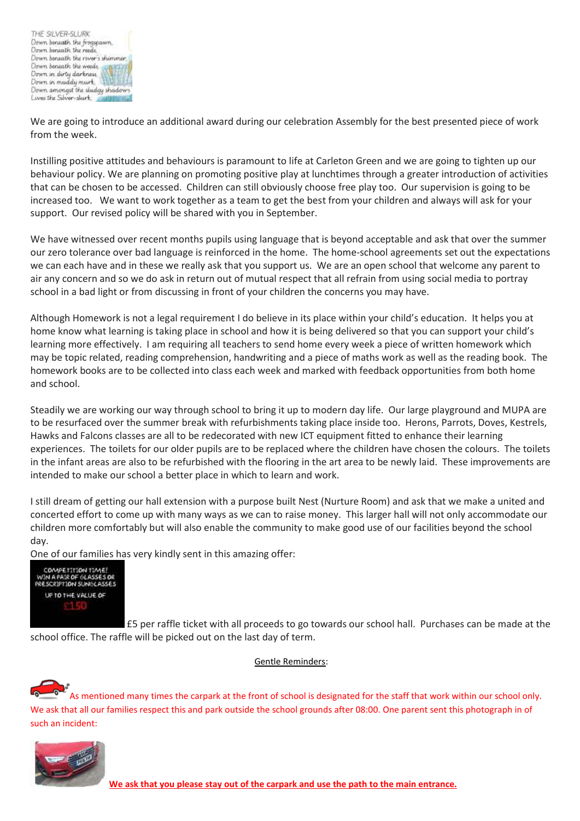

We are going to introduce an additional award during our celebration Assembly for the best presented piece of work from the week.

Instilling positive attitudes and behaviours is paramount to life at Carleton Green and we are going to tighten up our behaviour policy. We are planning on promoting positive play at lunchtimes through a greater introduction of activities that can be chosen to be accessed. Children can still obviously choose free play too. Our supervision is going to be increased too. We want to work together as a team to get the best from your children and always will ask for your support. Our revised policy will be shared with you in September.

We have witnessed over recent months pupils using language that is beyond acceptable and ask that over the summer our zero tolerance over bad language is reinforced in the home. The home-school agreements set out the expectations we can each have and in these we really ask that you support us. We are an open school that welcome any parent to air any concern and so we do ask in return out of mutual respect that all refrain from using social media to portray school in a bad light or from discussing in front of your children the concerns you may have.

Although Homework is not a legal requirement I do believe in its place within your child's education. It helps you at home know what learning is taking place in school and how it is being delivered so that you can support your child's learning more effectively. I am requiring all teachers to send home every week a piece of written homework which may be topic related, reading comprehension, handwriting and a piece of maths work as well as the reading book. The homework books are to be collected into class each week and marked with feedback opportunities from both home and school.

Steadily we are working our way through school to bring it up to modern day life. Our large playground and MUPA are to be resurfaced over the summer break with refurbishments taking place inside too. Herons, Parrots, Doves, Kestrels, Hawks and Falcons classes are all to be redecorated with new ICT equipment fitted to enhance their learning experiences. The toilets for our older pupils are to be replaced where the children have chosen the colours. The toilets in the infant areas are also to be refurbished with the flooring in the art area to be newly laid. These improvements are intended to make our school a better place in which to learn and work.

I still dream of getting our hall extension with a purpose built Nest (Nurture Room) and ask that we make a united and concerted effort to come up with many ways as we can to raise money. This larger hall will not only accommodate our children more comfortably but will also enable the community to make good use of our facilities beyond the school day.

One of our families has very kindly sent in this amazing offer:



£5 per raffle ticket with all proceeds to go towards our school hall. Purchases can be made at the school office. The raffle will be picked out on the last day of term.

Gentle Reminders:

As mentioned many times the carpark at the front of school is designated for the staff that work within our school only. We ask that all our families respect this and park outside the school grounds after 08:00. One parent sent this photograph in of such an incident:



**We ask that you please stay out of the carpark and use the path to the main entrance.**